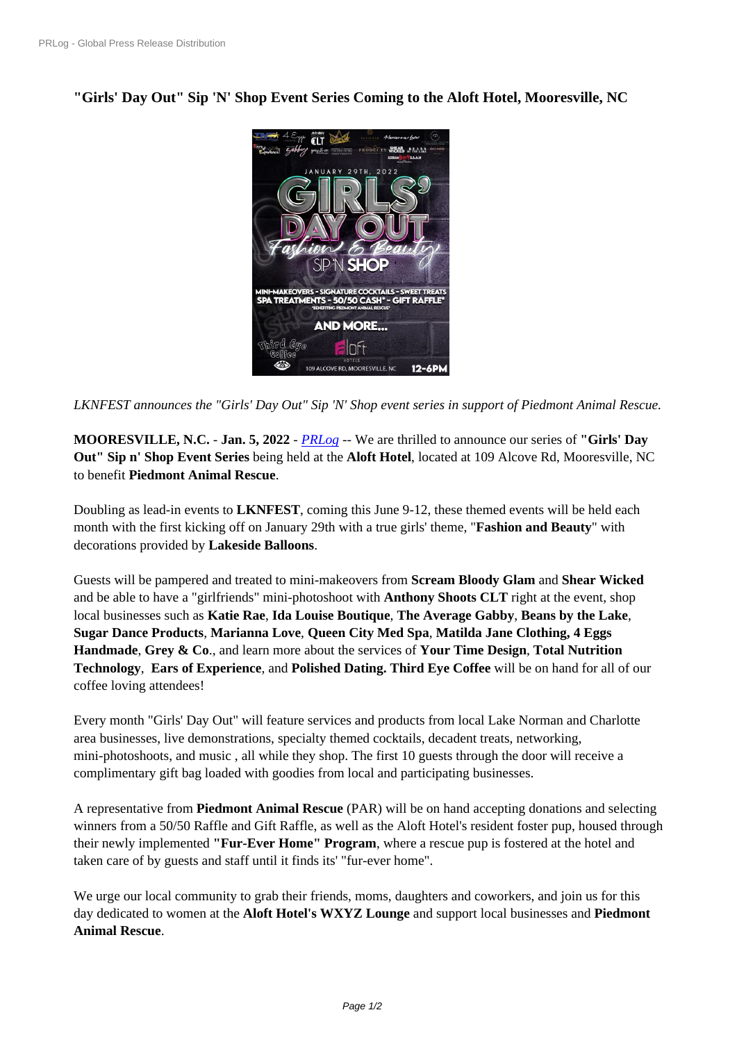**["Girls](https://www.prlog.org/)' [Day Out" Sip](https://www.prlog.org/) '[N](https://www.prlog.org/)' Shop Event Series Coming to the Aloft Hotel, Mooresville, NC**



*LKNFEST announces the "Girls[' Day Out" Sip 'N' Shop event series i](https://www.prlog.org/12898463-girls-day-out-january-29-2022.jpg)n support of Piedmont Animal Rescue.*

**MOORESVILLE, N.C.** - **Jan. 5, 2022** - *PRLog* -- We are thrilled to announce our series of **"Girls' Day Out" Sip n' Shop Event Series** being held at the **Aloft Hotel**, located at 109 Alcove Rd, Mooresville, NC to benefit **Piedmont Animal Rescue**.

Doubling as lead-in events to **LKNFEST**[, comin](https://www.prlog.org)g this June 9-12, these themed events will be held each month with the first kicking off on January 29th with a true girls' theme, "**Fashion and Beauty**" with decorations provided by **Lakeside Balloons**.

Guests will be pampered and treated to mini-makeovers from **Scream Bloody Glam** and **Shear Wicked** and be able to have a "girlfriends" mini-photoshoot with **Anthony Shoots CLT** right at the event, shop local businesses such as **Katie Rae**, **Ida Louise Boutique**, **The Average Gabby**, **Beans by the Lake**, **Sugar Dance Products**, **Marianna Love**, **Queen City Med Spa**, **Matilda Jane Clothing, 4 Eggs Handmade**, **Grey & Co**., and learn more about the services of **Your Time Design**, **Total Nutrition Technology**, **Ears of Experience**, and **Polished Dating. Third Eye Coffee** will be on hand for all of our coffee loving attendees!

Every month "Girls' Day Out" will feature services and products from local Lake Norman and Charlotte area businesses, live demonstrations, specialty themed cocktails, decadent treats, networking, mini-photoshoots, and music , all while they shop. The first 10 guests through the door will receive a complimentary gift bag loaded with goodies from local and participating businesses.

A representative from **Piedmont Animal Rescue** (PAR) will be on hand accepting donations and selecting winners from a 50/50 Raffle and Gift Raffle, as well as the Aloft Hotel's resident foster pup, housed through their newly implemented **"Fur-Ever Home" Program**, where a rescue pup is fostered at the hotel and taken care of by guests and staff until it finds its' "fur-ever home".

We urge our local community to grab their friends, moms, daughters and coworkers, and join us for this day dedicated to women at the **Aloft Hotel's WXYZ Lounge** and support local businesses and **Piedmont Animal Rescue**.